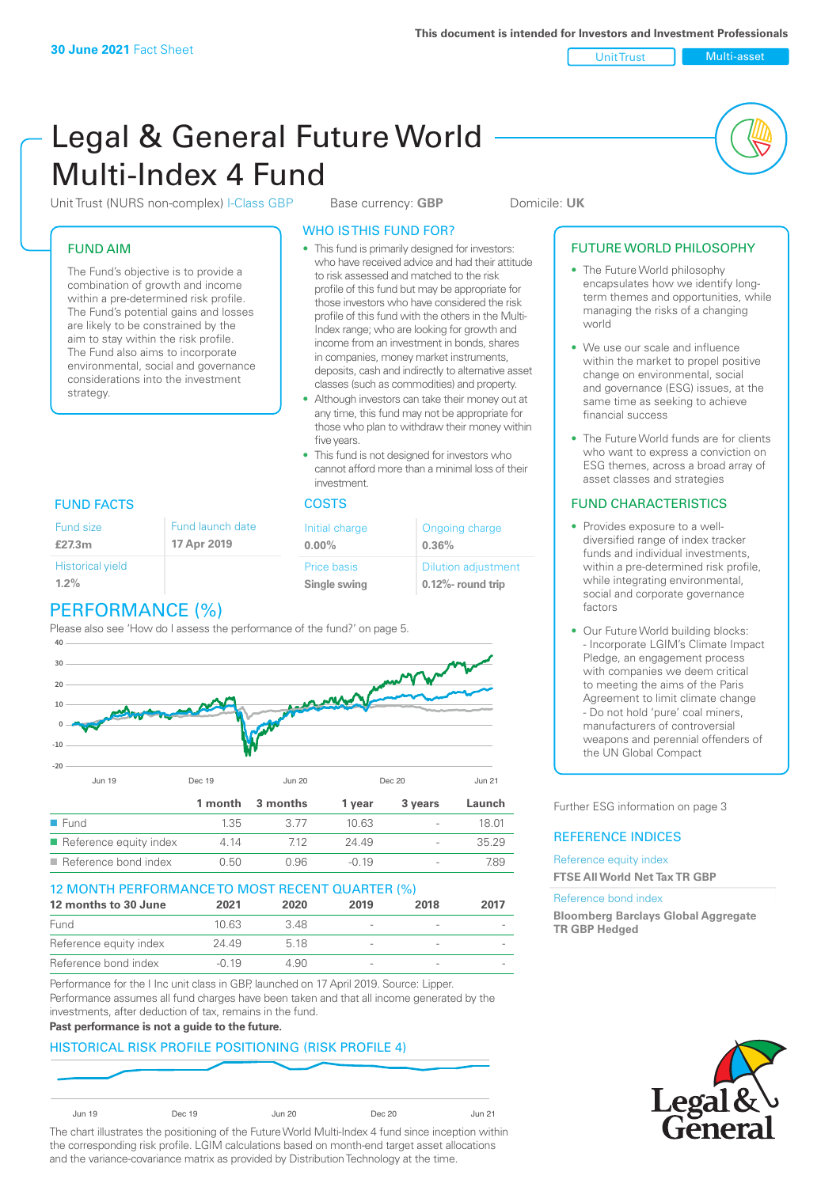Unit Trust Nulti-asset

# Legal & General Future World Multi-Index 4 Fund

Unit Trust (NURS non-complex) I-Class GBP Base currency: **GBP** Domicile: UK

# FUND AIM

The Fund's objective is to provide a combination of growth and income within a pre-determined risk profile. The Fund's potential gains and losses are likely to be constrained by the aim to stay within the risk profile. The Fund also aims to incorporate environmental, social and governance considerations into the investment strategy.

# WHO IS THIS FUND FOR?

- This fund is primarily designed for investors: who have received advice and had their attitude to risk assessed and matched to the risk profile of this fund but may be appropriate for those investors who have considered the risk profile of this fund with the others in the Multi-Index range; who are looking for growth and income from an investment in bonds, shares in companies, money market instruments, deposits, cash and indirectly to alternative asset classes (such as commodities) and property.
- Although investors can take their money out at any time, this fund may not be appropriate for those who plan to withdraw their money within five years.
- This fund is not designed for investors who cannot afford more than a minimal loss of their investment.

| unch date | Initial charge              | Ongoing charge                                      |
|-----------|-----------------------------|-----------------------------------------------------|
| 2019      | $0.00\%$                    | 0.36%                                               |
|           | Price basis<br>Single swing | <b>Dilution adjustment</b><br>$0.12\%$ - round trip |

# FUND FACTS COSTS

Fund size **£27.3m**

| <b>Historical yield</b> |  |
|-------------------------|--|
| 1.2%                    |  |

Fund lau **17 Apr** 

# PERFORMANCE (%)

Please also see 'How do I assess the performance of the fund?' on page 5.



# 12 MONTH PERFORMANCE TO MOST RECENT QUARTER (%)

| 12 months to 30 June   | 2021             | 2020 | 2019                     | 2018                     | 2017 |
|------------------------|------------------|------|--------------------------|--------------------------|------|
| Fund                   | 10 <sub>63</sub> | 348  | $\overline{\phantom{a}}$ | $\overline{\phantom{a}}$ |      |
| Reference equity index | 24.49            | 518  |                          | $\overline{\phantom{a}}$ |      |
| Reference bond index   | $-0.19$          | 4.90 |                          |                          |      |

Performance for the I Inc unit class in GBP, launched on 17 April 2019. Source: Lipper. Performance assumes all fund charges have been taken and that all income generated by the investments, after deduction of tax, remains in the fund.

#### **Past performance is not a guide to the future.**

# HISTORICAL RISK PROFILE POSITIONING (RISK PROFILE 4)

| Jun 19 | Dec 19 | <b>Jun 20</b> | <b>Dec 20</b> | Jun 21 |
|--------|--------|---------------|---------------|--------|

The chart illustrates the positioning of the Future World Multi-Index 4 fund since inception within the corresponding risk profile. LGIM calculations based on month-end target asset allocations and the variance-covariance matrix as provided by Distribution Technology at the time.

# FUTURE WORLD PHILOSOPHY

- The Future World philosophy encapsulates how we identify longterm themes and opportunities, while managing the risks of a changing world
- We use our scale and influence within the market to propel positive change on environmental, social and governance (ESG) issues, at the same time as seeking to achieve financial success
- The Future World funds are for clients who want to express a conviction on ESG themes, across a broad array of asset classes and strategies

# FUND CHARACTERISTICS

- Provides exposure to a welldiversified range of index tracker funds and individual investments, within a pre-determined risk profile while integrating environmental, social and corporate governance factors
- Our Future World building blocks: - Incorporate LGIM's Climate Impact Pledge, an engagement process with companies we deem critical to meeting the aims of the Paris Agreement to limit climate change - Do not hold 'pure' coal miners, manufacturers of controversial weapons and perennial offenders of the UN Global Compact

Further ESG information on page 3

#### REFERENCE INDICES

#### Reference equity index **FTSE All World Net Tax TR GBP**

#### Reference bond index

**Bloomberg Barclays Global Aggregate TR GBP Hedged**

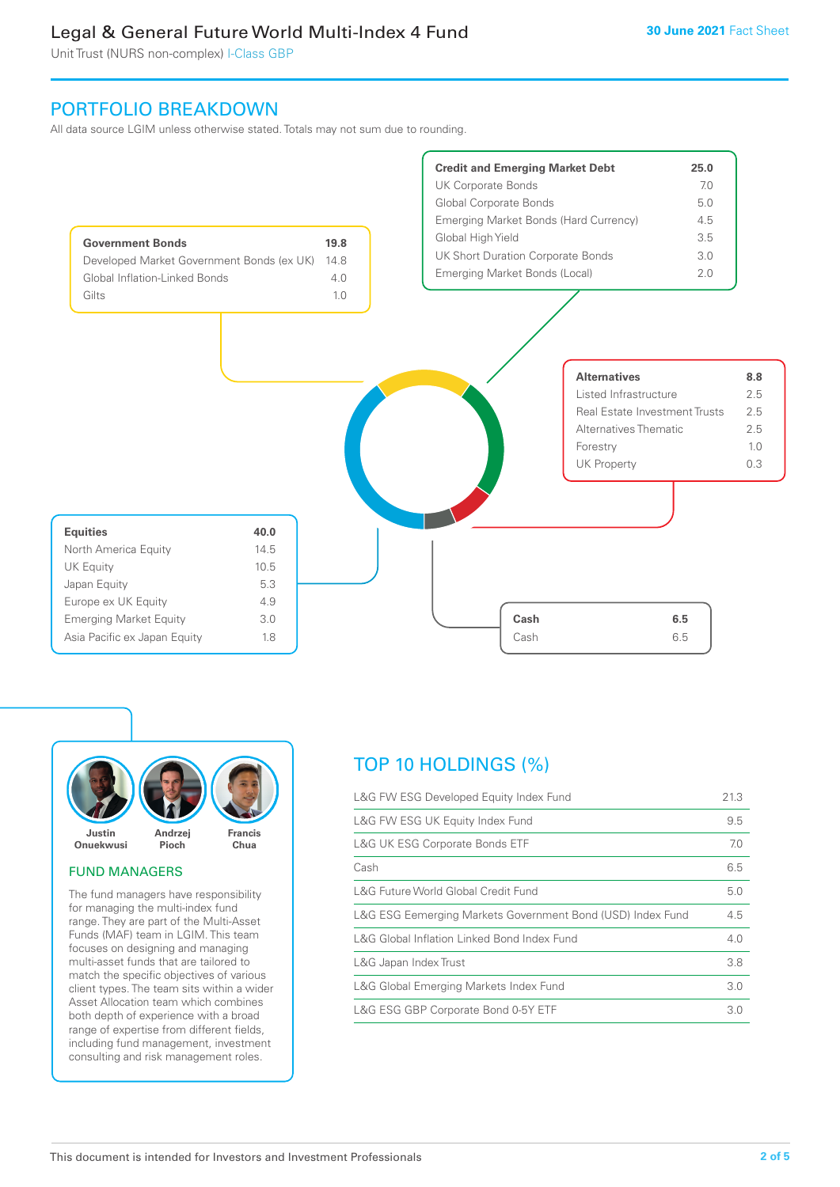Unit Trust (NURS non-complex) I-Class GBP

# PORTFOLIO BREAKDOWN

All data source LGIM unless otherwise stated. Totals may not sum due to rounding.





# FUND MANAGERS

The fund managers have responsibility for managing the multi-index fund range. They are part of the Multi-Asset Funds (MAF) team in LGIM. This team focuses on designing and managing multi-asset funds that are tailored to match the specific objectives of various client types. The team sits within a wider Asset Allocation team which combines both depth of experience with a broad range of expertise from different fields, including fund management, investment consulting and risk management roles.

# TOP 10 HOLDINGS (%)

| L&G FW ESG Developed Equity Index Fund                     | 21.3 |
|------------------------------------------------------------|------|
| L&G FW ESG UK Equity Index Fund                            | 9.5  |
| <b>L&amp;G UK ESG Corporate Bonds ETF</b>                  | 7.0  |
| Cash                                                       | 6.5  |
| L&G Future World Global Credit Fund                        | 5.0  |
| L&G ESG Eemerging Markets Government Bond (USD) Index Fund | 4.5  |
| L&G Global Inflation Linked Bond Index Fund                | 4.0  |
| L&G Japan Index Trust                                      | 3.8  |
| L&G Global Emerging Markets Index Fund                     | 3.0  |
| L&G ESG GBP Corporate Bond 0-5Y ETF                        | 3.0  |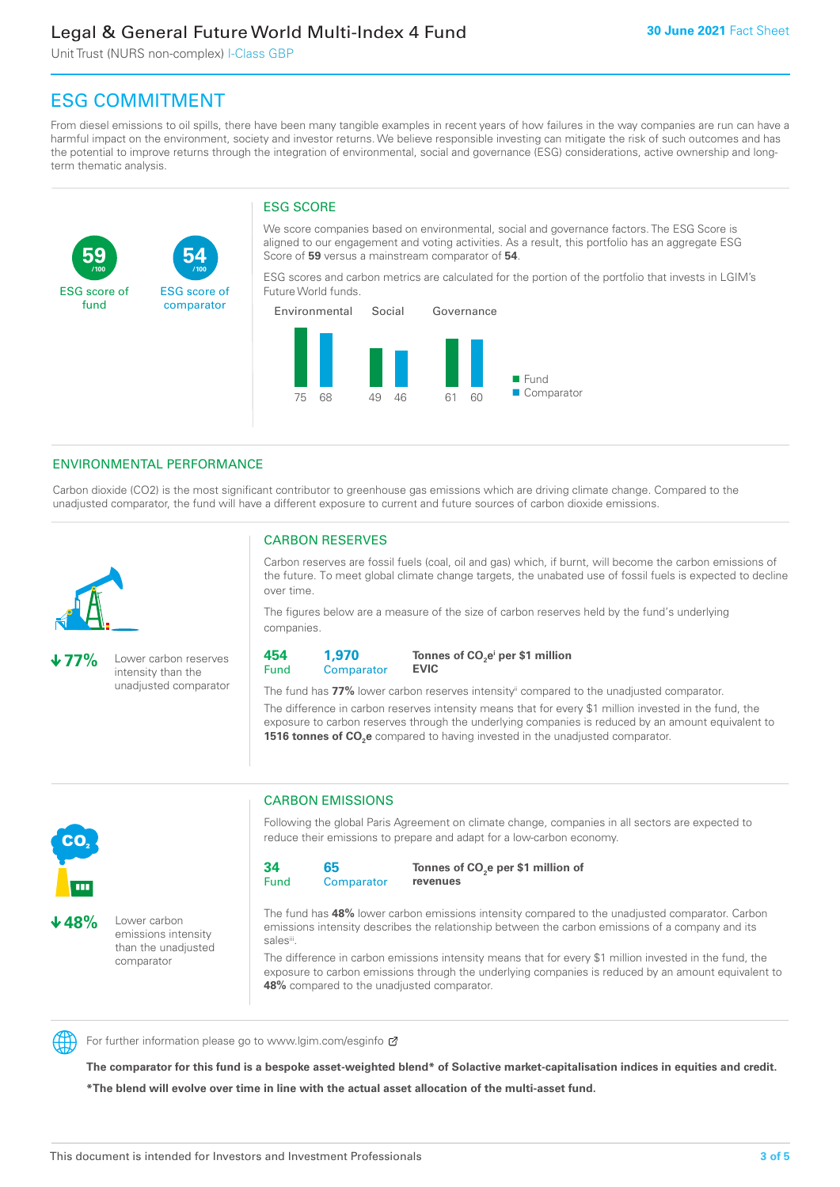Unit Trust (NURS non-complex) I-Class GBP

**54**

ESG score of comparator

# ESG COMMITMENT

**/100 /100**

From diesel emissions to oil spills, there have been many tangible examples in recent years of how failures in the way companies are run can have a harmful impact on the environment, society and investor returns. We believe responsible investing can mitigate the risk of such outcomes and has the potential to improve returns through the integration of environmental, social and governance (ESG) considerations, active ownership and longterm thematic analysis.

# ESG SCORE

We score companies based on environmental, social and governance factors. The ESG Score is aligned to our engagement and voting activities. As a result, this portfolio has an aggregate ESG Score of **59** versus a mainstream comparator of **54**.

ESG scores and carbon metrics are calculated for the portion of the portfolio that invests in LGIM's Future World funds.



# ENVIRONMENTAL PERFORMANCE

Carbon dioxide (CO2) is the most significant contributor to greenhouse gas emissions which are driving climate change. Compared to the unadjusted comparator, the fund will have a different exposure to current and future sources of carbon dioxide emissions.



**59**

ESG score of fund

**77%** Lower carbon reserves intensity than the unadjusted comparator

# CARBON RESERVES

Carbon reserves are fossil fuels (coal, oil and gas) which, if burnt, will become the carbon emissions of the future. To meet global climate change targets, the unabated use of fossil fuels is expected to decline over time.

The figures below are a measure of the size of carbon reserves held by the fund's underlying companies.

**454** Fund **1,970 Comparator** 

**Tonnes of CO2 ei per \$1 million EVIC**

The fund has **77%** lower carbon reserves intensityii compared to the unadjusted comparator. The difference in carbon reserves intensity means that for every \$1 million invested in the fund, the exposure to carbon reserves through the underlying companies is reduced by an amount equivalent to **1516 tonnes of CO<sub>2</sub>e** compared to having invested in the unadjusted comparator.



**48%** Lower carbon emissions intensity than the unadjusted comparator

# CARBON EMISSIONS

Following the global Paris Agreement on climate change, companies in all sectors are expected to reduce their emissions to prepare and adapt for a low-carbon economy.

**34** Fund **65 Comparator** 

**Tonnes of CO2 e per \$1 million of revenues**

The fund has **48%** lower carbon emissions intensity compared to the unadjusted comparator. Carbon emissions intensity describes the relationship between the carbon emissions of a company and its salesii

The difference in carbon emissions intensity means that for every \$1 million invested in the fund, the exposure to carbon emissions through the underlying companies is reduced by an amount equivalent to **48%** compared to the unadjusted comparator.



For further information please go to www.lgim.com/esginfo Ø

**The comparator for this fund is a bespoke asset-weighted blend\* of Solactive market-capitalisation indices in equities and credit. \*The blend will evolve over time in line with the actual asset allocation of the multi-asset fund.**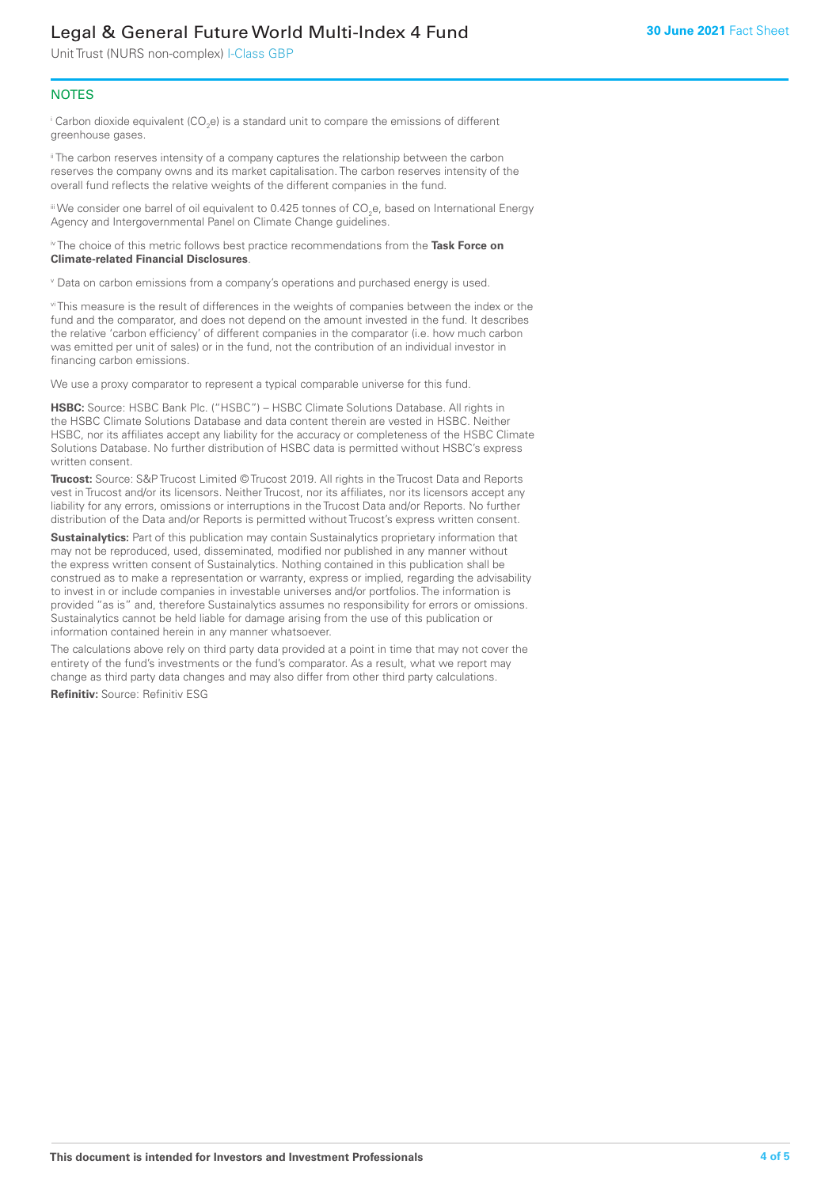Unit Trust (NURS non-complex) I-Class GBP

# **NOTES**

 $^\mathrm{i}$  Carbon dioxide equivalent (CO<sub>2</sub>e) is a standard unit to compare the emissions of different greenhouse gases.

<sup>ii</sup> The carbon reserves intensity of a company captures the relationship between the carbon reserves the company owns and its market capitalisation. The carbon reserves intensity of the overall fund reflects the relative weights of the different companies in the fund.

iii We consider one barrel of oil equivalent to 0.425 tonnes of CO<sub>2</sub>e, based on International Energy Agency and Intergovernmental Panel on Climate Change guidelines.

#### iv The choice of this metric follows best practice recommendations from the **Task Force on Climate-related Financial Disclosures**.

v Data on carbon emissions from a company's operations and purchased energy is used.

vi This measure is the result of differences in the weights of companies between the index or the fund and the comparator, and does not depend on the amount invested in the fund. It describes the relative 'carbon efficiency' of different companies in the comparator (i.e. how much carbon was emitted per unit of sales) or in the fund, not the contribution of an individual investor in financing carbon emissions.

We use a proxy comparator to represent a typical comparable universe for this fund.

**HSBC:** Source: HSBC Bank Plc. ("HSBC") – HSBC Climate Solutions Database. All rights in the HSBC Climate Solutions Database and data content therein are vested in HSBC. Neither HSBC, nor its affiliates accept any liability for the accuracy or completeness of the HSBC Climate Solutions Database. No further distribution of HSBC data is permitted without HSBC's express written consent.

**Trucost:** Source: S&P Trucost Limited © Trucost 2019. All rights in the Trucost Data and Reports vest in Trucost and/or its licensors. Neither Trucost, nor its affiliates, nor its licensors accept any liability for any errors, omissions or interruptions in the Trucost Data and/or Reports. No further distribution of the Data and/or Reports is permitted without Trucost's express written consent.

**Sustainalytics:** Part of this publication may contain Sustainalytics proprietary information that may not be reproduced, used, disseminated, modified nor published in any manner without the express written consent of Sustainalytics. Nothing contained in this publication shall be construed as to make a representation or warranty, express or implied, regarding the advisability to invest in or include companies in investable universes and/or portfolios. The information is provided "as is" and, therefore Sustainalytics assumes no responsibility for errors or omissions. Sustainalytics cannot be held liable for damage arising from the use of this publication or information contained herein in any manner whatsoever.

The calculations above rely on third party data provided at a point in time that may not cover the entirety of the fund's investments or the fund's comparator. As a result, what we report may change as third party data changes and may also differ from other third party calculations.

**Refinitiv:** Source: Refinitiv ESG